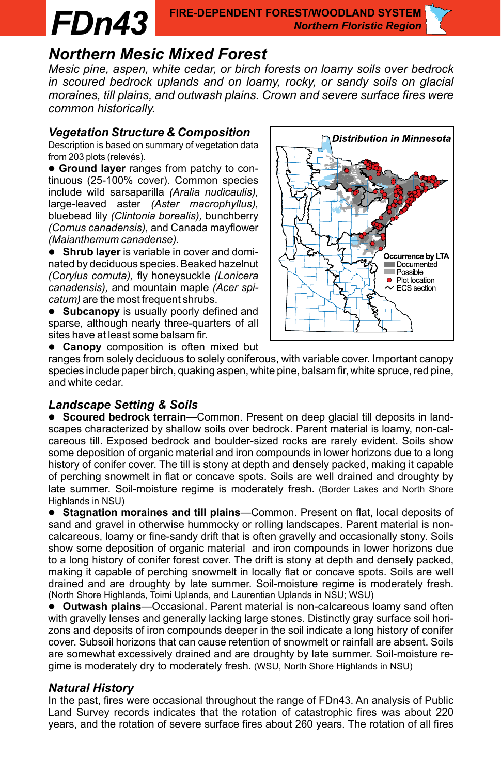## *FDn43* **FIRE-DEPENDENT FOREST/WOODLAND SYSTEM** *Northern Floristic Region*

# *Northern Mesic Mixed Forest*

*Mesic pine, aspen, white cedar, or birch forests on loamy soils over bedrock in scoured bedrock uplands and on loamy, rocky, or sandy soils on glacial moraines, till plains, and outwash plains. Crown and severe surface fires were common historically.*

# *Vegetation Structure & Composition*

Description is based on summary of vegetation data from 203 plots (relevés).

 **Ground layer** ranges from patchy to continuous (25-100% cover). Common species include wild sarsaparilla *(Aralia nudicaulis),* large-leaved aster *(Aster macrophyllus),* bluebead lily *(Clintonia borealis),* bunchberry *(Cornus canadensis),* and Canada mayflower *(Maianthemum canadense).*

 **Shrub layer** is variable in cover and dominated by deciduous species. Beaked hazelnut *(Corylus cornuta),* fly honeysuckle *(Lonicera canadensis),* and mountain maple *(Acer spicatum)* are the most frequent shrubs.

**• Subcanopy** is usually poorly defined and sparse, although nearly three-quarters of all sites have at least some balsam fir.

**Canopy** composition is often mixed but

ranges from solely deciduous to solely coniferous, with variable cover. Important canopy species include paper birch, quaking aspen, white pine, balsam fir, white spruce, red pine, and white cedar.

# *Landscape Setting & Soils*

 **Scoured bedrock terrain**—Common. Present on deep glacial till deposits in landscapes characterized by shallow soils over bedrock. Parent material is loamy, non-calcareous till. Exposed bedrock and boulder-sized rocks are rarely evident. Soils show some deposition of organic material and iron compounds in lower horizons due to a long history of conifer cover. The till is stony at depth and densely packed, making it capable of perching snowmelt in flat or concave spots. Soils are well drained and droughty by late summer. Soil-moisture regime is moderately fresh. (Border Lakes and North Shore Highlands in NSU)

 **Stagnation moraines and till plains**—Common. Present on flat, local deposits of sand and gravel in otherwise hummocky or rolling landscapes. Parent material is noncalcareous, loamy or fine-sandy drift that is often gravelly and occasionally stony. Soils show some deposition of organic material and iron compounds in lower horizons due to a long history of conifer forest cover. The drift is stony at depth and densely packed, making it capable of perching snowmelt in locally flat or concave spots. Soils are well drained and are droughty by late summer. Soil-moisture regime is moderately fresh. (North Shore Highlands, Toimi Uplands, and Laurentian Uplands in NSU; WSU)

 **Outwash plains**—Occasional. Parent material is non-calcareous loamy sand often with gravelly lenses and generally lacking large stones. Distinctly gray surface soil horizons and deposits of iron compounds deeper in the soil indicate a long history of conifer cover. Subsoil horizons that can cause retention of snowmelt or rainfall are absent. Soils are somewhat excessively drained and are droughty by late summer. Soil-moisture regime is moderately dry to moderately fresh. (WSU, North Shore Highlands in NSU)

# *Natural History*

In the past, fires were occasional throughout the range of FDn43. An analysis of Public Land Survey records indicates that the rotation of catastrophic fires was about 220 years, and the rotation of severe surface fires about 260 years. The rotation of all fires

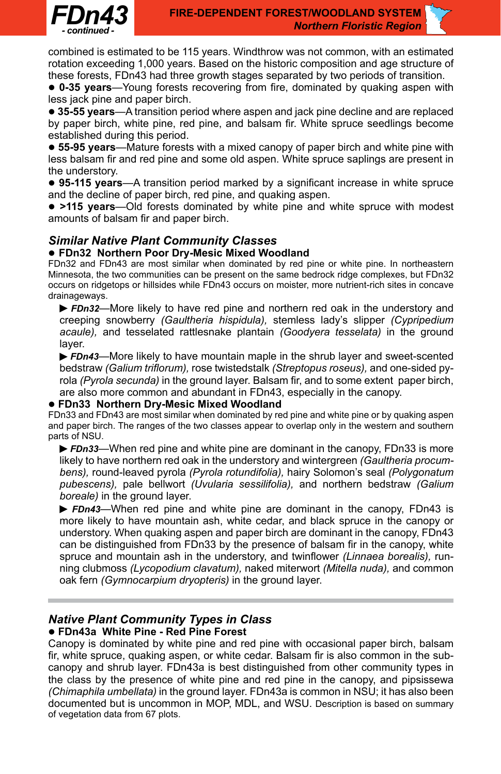

combined is estimated to be 115 years. Windthrow was not common, with an estimated rotation exceeding 1,000 years. Based on the historic composition and age structure of these forests, FDn43 had three growth stages separated by two periods of transition.

 **0-35 years**—Young forests recovering from fire, dominated by quaking aspen with less jack pine and paper birch.

 **35-55 years**—A transition period where aspen and jack pine decline and are replaced by paper birch, white pine, red pine, and balsam fir. White spruce seedlings become established during this period.

 **55-95 years**—Mature forests with a mixed canopy of paper birch and white pine with less balsam fir and red pine and some old aspen. White spruce saplings are present in the understory.

 **95-115 years**—A transition period marked by a significant increase in white spruce and the decline of paper birch, red pine, and quaking aspen.

 **>115 years**—Old forests dominated by white pine and white spruce with modest amounts of balsam fir and paper birch.

# *Similar Native Plant Community Classes*

### **FDn32 Northern Poor Dry-Mesic Mixed Woodland**

FDn32 and FDn43 are most similar when dominated by red pine or white pine. In northeastern Minnesota, the two communities can be present on the same bedrock ridge complexes, but FDn32 occurs on ridgetops or hillsides while FDn43 occurs on moister, more nutrient-rich sites in concave drainageways.

*FDn32—*More likely to have red pine and northern red oak in the understory and creeping snowberry *(Gaultheria hispidula),* stemless lady's slipper *(Cypripedium acaule),* and tesselated rattlesnake plantain *(Goodyera tesselata)* in the ground layer.

*FDn43—*More likely to have mountain maple in the shrub layer and sweet-scented bedstraw *(Galium triflorum),* rose twistedstalk *(Streptopus roseus),* and one-sided pyrola *(Pyrola secunda)* in the ground layer. Balsam fir, and to some extent paper birch, are also more common and abundant in FDn43, especially in the canopy.

### **FDn33 Northern Dry-Mesic Mixed Woodland**

FDn33 and FDn43 are most similar when dominated by red pine and white pine or by quaking aspen and paper birch. The ranges of the two classes appear to overlap only in the western and southern parts of NSU.

*FDn33—*When red pine and white pine are dominant in the canopy, FDn33 is more likely to have northern red oak in the understory and wintergreen *(Gaultheria procumbens),* round-leaved pyrola *(Pyrola rotundifolia),* hairy Solomon's seal *(Polygonatum pubescens),* pale bellwort *(Uvularia sessilifolia),* and northern bedstraw *(Galium boreale)* in the ground layer.

**FDn43**—When red pine and white pine are dominant in the canopy, FDn43 is more likely to have mountain ash, white cedar, and black spruce in the canopy or understory. When quaking aspen and paper birch are dominant in the canopy, FDn43 can be distinguished from FDn33 by the presence of balsam fir in the canopy, white spruce and mountain ash in the understory, and twinflower *(Linnaea borealis),* running clubmoss *(Lycopodium clavatum),* naked miterwort *(Mitella nuda),* and common oak fern *(Gymnocarpium dryopteris)* in the ground layer.

### *Native Plant Community Types in Class*  **FDn43a White Pine - Red Pine Forest**

Canopy is dominated by white pine and red pine with occasional paper birch, balsam fir, white spruce, quaking aspen, or white cedar. Balsam fir is also common in the subcanopy and shrub layer. FDn43a is best distinguished from other community types in the class by the presence of white pine and red pine in the canopy, and pipsissewa *(Chimaphila umbellata)* in the ground layer. FDn43a is common in NSU; it has also been documented but is uncommon in MOP, MDL, and WSU. Description is based on summary of vegetation data from 67 plots.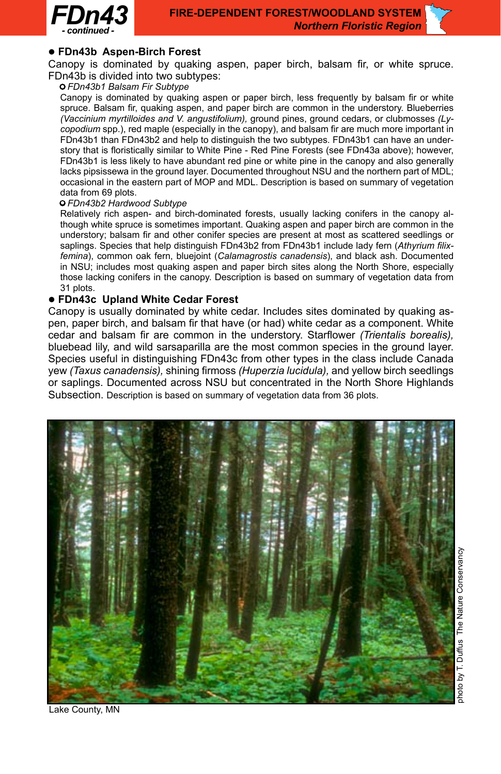

### **FDn43b Aspen-Birch Forest**

Canopy is dominated by quaking aspen, paper birch, balsam fir, or white spruce. FDn43b is divided into two subtypes:

### • *FDn43b1 Balsam Fir Subtype*

Canopy is dominated by quaking aspen or paper birch, less frequently by balsam fir or white spruce. Balsam fir, quaking aspen, and paper birch are common in the understory. Blueberries *(Vaccinium myrtilloides and V. angustifolium),* ground pines, ground cedars, or clubmosses *(Lycopodium* spp.), red maple (especially in the canopy), and balsam fir are much more important in FDn43b1 than FDn43b2 and help to distinguish the two subtypes. FDn43b1 can have an understory that is floristically similar to White Pine - Red Pine Forests (see FDn43a above); however, FDn43b1 is less likely to have abundant red pine or white pine in the canopy and also generally lacks pipsissewa in the ground layer. Documented throughout NSU and the northern part of MDL; occasional in the eastern part of MOP and MDL. Description is based on summary of vegetation data from 69 plots.

### • *FDn43b2 Hardwood Subtype*

Relatively rich aspen- and birch-dominated forests, usually lacking conifers in the canopy although white spruce is sometimes important. Quaking aspen and paper birch are common in the understory; balsam fir and other conifer species are present at most as scattered seedlings or saplings. Species that help distinguish FDn43b2 from FDn43b1 include lady fern (*Athyrium filixfemina*), common oak fern, bluejoint (*Calamagrostis canadensis*), and black ash. Documented in NSU; includes most quaking aspen and paper birch sites along the North Shore, especially those lacking conifers in the canopy. Description is based on summary of vegetation data from 31 plots.

### **FDn43c Upland White Cedar Forest**

Canopy is usually dominated by white cedar. Includes sites dominated by quaking aspen, paper birch, and balsam fir that have (or had) white cedar as a component. White cedar and balsam fir are common in the understory. Starflower *(Trientalis borealis),* bluebead lily, and wild sarsaparilla are the most common species in the ground layer. Species useful in distinguishing FDn43c from other types in the class include Canada yew *(Taxus canadensis),* shining firmoss *(Huperzia lucidula),* and yellow birch seedlings or saplings. Documented across NSU but concentrated in the North Shore Highlands Subsection. Description is based on summary of vegetation data from 36 plots.